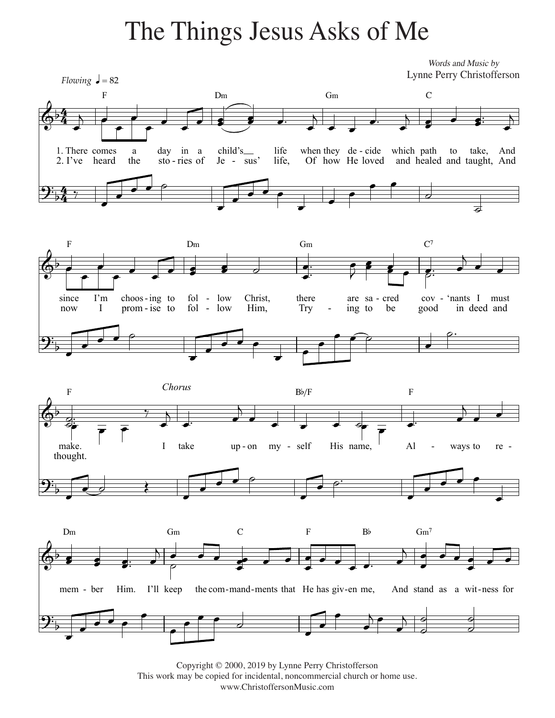## The Things Jesus Asks of Me The Things Jesus Asks of Me

2. I've heard 1. There comes F a the day sto - ries of in a child's Je D<sub>m</sub> - sus' life life, when they de - cide which path Of how He loved and healed and taught, And G<sub>m</sub> C to take, And *Flowing*  $\sqrt{ } = 82$ since now F I'm I choos - ing choos-ing to<br>prom-ise to fol - low fol - low Christ,<br>fol - low Him,  $Dm$ Him, there Try Gm are sa - cred cov - ing to be good  $\mathbf{C}^7$ - 'nants I must in deed and make. thought. F I take up-on my-self Bb/F His name, Al F ways to re mem - ber D<sub>m</sub> Him. I'll keep Gm the com-mand-ments that He has giv-en me, C F  $B<sub>b</sub>$ And stand as a wit-ness for  $Gm^7$ 4 4<br>4 4  $\frac{4}{4}$  $\overline{\Phi^{\flat}}$ Words and Music by  $\mathbf{\mathcal{Y}}^{\mathbf{:}}_{\flat}$  $\overline{\Phi^{\flat}}$  $\mathbf{\mathcal{\hat{Y}}}_{\flat}$  $\overline{\mathbb{Q}^{\flat}}$ *Chorus*  $\mathbf{\mathcal{Y}_{b}^{:}}$  $\overline{\mathbb{Q}}^{\flat}$  $\mathbf{\mathfrak{P}}_{\flat}$ œ  $j \neq 0$ œ  $\overline{\phantom{a}}$ œ œ e de de  $\overline{b}$ œ œ œ™ œ  $\overline{\phantom{a}}$ œ œ œ œ™  $\cdot$  $\overline{b}$ œ œ ‰  $\overline{\phantom{0}}$ œ  $\Gamma$  $\overline{\phantom{0}}$ œ  $\overline{\cdot}$   $\overline{\cdot}$  $\overline{\phantom{0}}$ œ œ  $\overline{\mathbf{e}}$  $\overline{d}$  $\exists$  $\bullet$   $\bullet$   $\bullet$ œ  $\overline{\phantom{a}}$ œ œ 。<br>● *。* œ œ™  $\cdot$   $\cdot$   $\cdot$  $\bar{P}$ œ œ œ œ œ  $e$   $e$   $\frac{1}{2}$  $\overline{\phantom{a}}$ œ œ  $\Gamma$ œ œ  $\overline{\cdot}$   $\overline{\cdot}$ œ œ œ  $\overrightarrow{P}$ œ ˙™  $\frac{d}{2}$ j<br>⊝: ™  $\frac{1}{\sigma}$  =  $\frac{1}{\sigma}$ ‰ œ  $\overline{b}$ œ™ œ j œ œ œ œ ˙œ œ œ™ œ  $\overline{a}$  $\overline{\phantom{a}}$ œ  $\overline{\phantom{a}}$ œ  $\overline{\phantom{0}}$  $\overline{\phantom{a}}$ œ  $\bullet$   $\circ$   $\bullet$ œ  $\overline{\phantom{a}}$ œ œ œ **g** œ œ œ™  $\overline{\phantom{a}}$  $\overline{\ }$  $\frac{1}{\sigma}$ œ œ œ  $e \rightarrow e$ œ œ œ œ œ œ™ œ j œ  $\bullet$   $\bullet$   $\bullet$ œ  $\bullet$   $\bullet$ œ œ  $\overline{\cdot}$   $\cdot$   $\cdot$ œ œ œ œ œ  $\overline{d}$ œ œ œ œ  $\overline{)}$ œ j ˙  $\frac{1}{\mathcal{Q}}$ J<br>O  $\frac{1}{2}$ Lynne Perry Christofferson

Copyright © 2000, 2019 Lynne Perry Christofferson. Copyright © 2000, 2019 by Lynne Perry Christofferson This work may be copied for incidental, noncommercial church or home use. www.ChristoffersonMusic.com